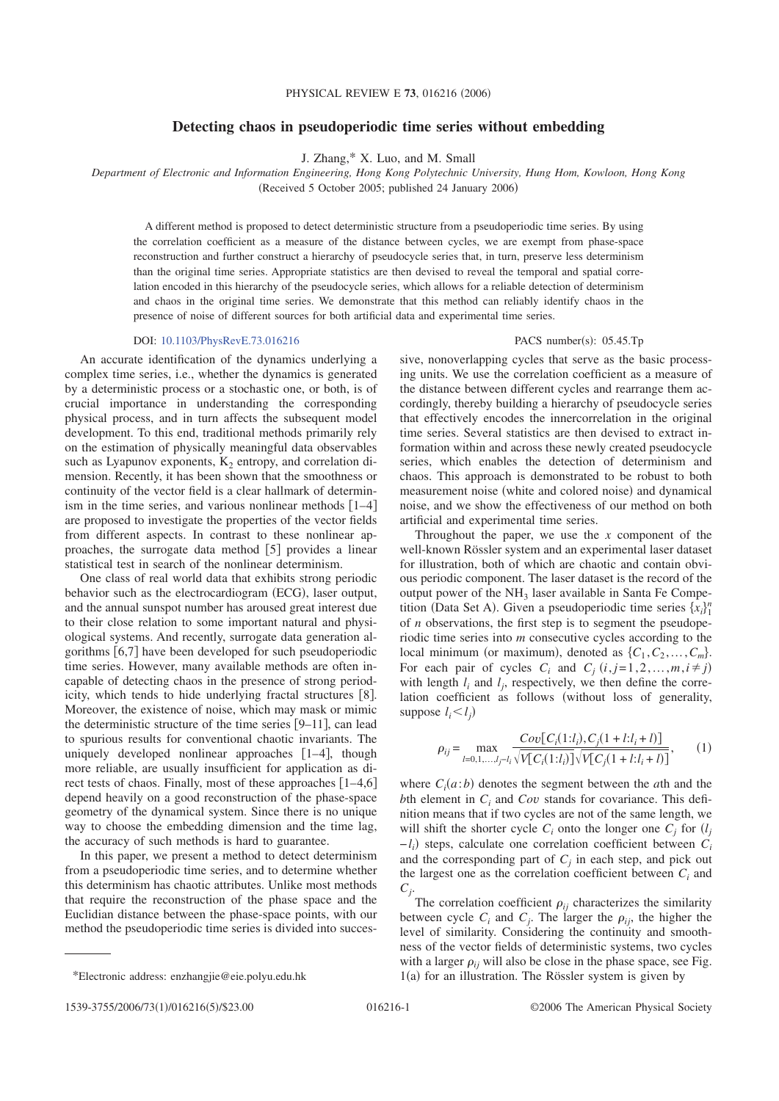## **Detecting chaos in pseudoperiodic time series without embedding**

J. Zhang,\* X. Luo, and M. Small

*Department of Electronic and Information Engineering, Hong Kong Polytechnic University, Hung Hom, Kowloon, Hong Kong*

(Received 5 October 2005; published 24 January 2006)

A different method is proposed to detect deterministic structure from a pseudoperiodic time series. By using the correlation coefficient as a measure of the distance between cycles, we are exempt from phase-space reconstruction and further construct a hierarchy of pseudocycle series that, in turn, preserve less determinism than the original time series. Appropriate statistics are then devised to reveal the temporal and spatial correlation encoded in this hierarchy of the pseudocycle series, which allows for a reliable detection of determinism and chaos in the original time series. We demonstrate that this method can reliably identify chaos in the presence of noise of different sources for both artificial data and experimental time series.

## DOI: 10.1103/PhysRevE.73.016216

An accurate identification of the dynamics underlying a complex time series, i.e., whether the dynamics is generated by a deterministic process or a stochastic one, or both, is of crucial importance in understanding the corresponding physical process, and in turn affects the subsequent model development. To this end, traditional methods primarily rely on the estimation of physically meaningful data observables such as Lyapunov exponents,  $K<sub>2</sub>$  entropy, and correlation dimension. Recently, it has been shown that the smoothness or continuity of the vector field is a clear hallmark of determinism in the time series, and various nonlinear methods  $[1-4]$ are proposed to investigate the properties of the vector fields from different aspects. In contrast to these nonlinear approaches, the surrogate data method  $[5]$  provides a linear statistical test in search of the nonlinear determinism.

One class of real world data that exhibits strong periodic behavior such as the electrocardiogram (ECG), laser output, and the annual sunspot number has aroused great interest due to their close relation to some important natural and physiological systems. And recently, surrogate data generation algorithms 6,7 have been developed for such pseudoperiodic time series. However, many available methods are often incapable of detecting chaos in the presence of strong periodicity, which tends to hide underlying fractal structures  $[8]$ . Moreover, the existence of noise, which may mask or mimic the deterministic structure of the time series  $[9-11]$ , can lead to spurious results for conventional chaotic invariants. The uniquely developed nonlinear approaches  $[1-4]$ , though more reliable, are usually insufficient for application as direct tests of chaos. Finally, most of these approaches  $[1-4,6]$ depend heavily on a good reconstruction of the phase-space geometry of the dynamical system. Since there is no unique way to choose the embedding dimension and the time lag, the accuracy of such methods is hard to guarantee.

In this paper, we present a method to detect determinism from a pseudoperiodic time series, and to determine whether this determinism has chaotic attributes. Unlike most methods that require the reconstruction of the phase space and the Euclidian distance between the phase-space points, with our method the pseudoperiodic time series is divided into succes-

## PACS number(s):  $05.45$ .Tp

sive, nonoverlapping cycles that serve as the basic processing units. We use the correlation coefficient as a measure of the distance between different cycles and rearrange them accordingly, thereby building a hierarchy of pseudocycle series that effectively encodes the innercorrelation in the original time series. Several statistics are then devised to extract information within and across these newly created pseudocycle series, which enables the detection of determinism and chaos. This approach is demonstrated to be robust to both measurement noise (white and colored noise) and dynamical noise, and we show the effectiveness of our method on both artificial and experimental time series.

Throughout the paper, we use the *x* component of the well-known Rössler system and an experimental laser dataset for illustration, both of which are chaotic and contain obvious periodic component. The laser dataset is the record of the output power of the  $NH<sub>3</sub>$  laser available in Santa Fe Competition (Data Set A). Given a pseudoperiodic time series  $\{x_i\}_{i=1}^n$ of *n* observations, the first step is to segment the pseudoperiodic time series into *m* consecutive cycles according to the local minimum (or maximum), denoted as  $\{C_1, C_2, \ldots, C_m\}$ . For each pair of cycles  $C_i$  and  $C_j$   $(i, j = 1, 2, ..., m, i \neq j)$ with length  $l_i$  and  $l_j$ , respectively, we then define the correlation coefficient as follows (without loss of generality, suppose  $l_i < l_j$ )

$$
\rho_{ij} = \max_{l=0,1,\dots,l_j-l_i} \frac{Cov[C_i(1:l_i), C_j(1+l:l_i+l)]}{\sqrt{V[C_i(1:l_i)]}\sqrt{V[C_j(1+l:l_i+l)]}},\qquad(1)
$$

where  $C_i(a:b)$  denotes the segment between the *a*th and the *b*th element in *Ci* and *Cov* stands for covariance. This definition means that if two cycles are not of the same length, we will shift the shorter cycle  $C_i$  onto the longer one  $C_j$  for  $(l_j)$ −*li* steps, calculate one correlation coefficient between *Ci* and the corresponding part of  $C_j$  in each step, and pick out the largest one as the correlation coefficient between  $C_i$  and *Cj*.

The correlation coefficient  $\rho_{ij}$  characterizes the similarity between cycle  $C_i$  and  $C_j$ . The larger the  $\rho_{ij}$ , the higher the level of similarity. Considering the continuity and smoothness of the vector fields of deterministic systems, two cycles with a larger  $\rho_{ij}$  will also be close in the phase space, see Fig.  $1(a)$  for an illustration. The Rössler system is given by

<sup>\*</sup>Electronic address: enzhangjie@eie.polyu.edu.hk 1-

<sup>1539-3755/2006/73(1)/016216(</sup>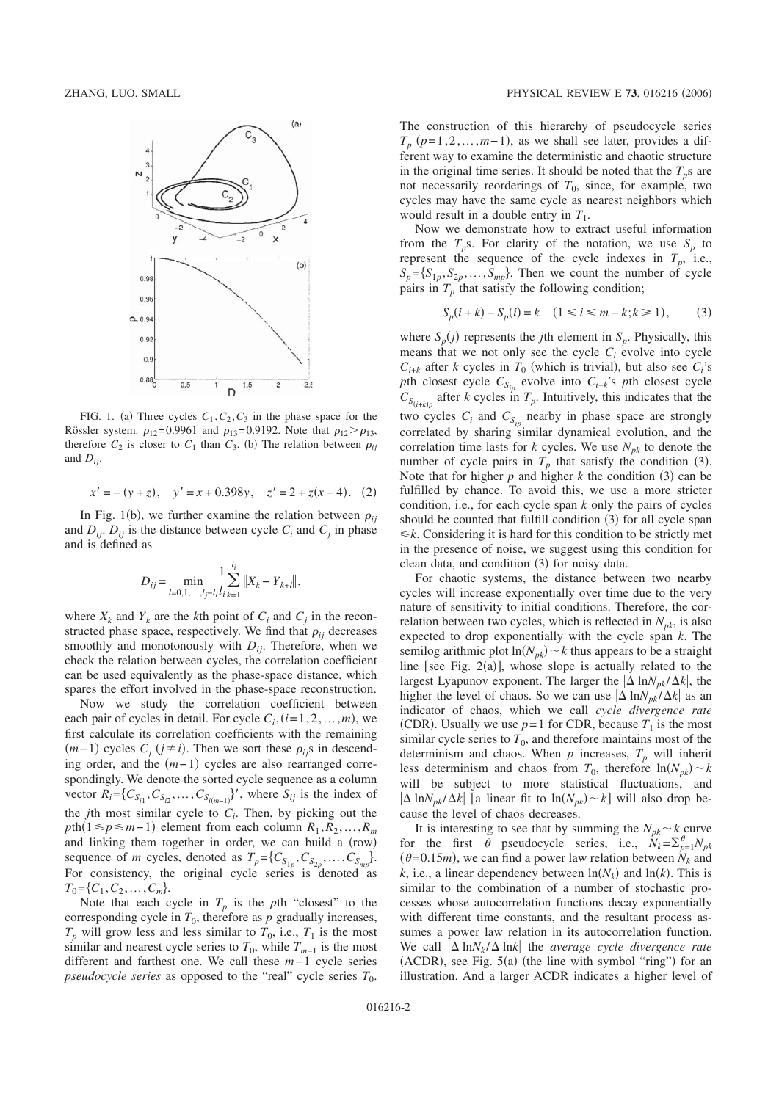

FIG. 1. (a) Three cycles  $C_1, C_2, C_3$  in the phase space for the Rössler system.  $\rho_{12} = 0.9961$  and  $\rho_{13} = 0.9192$ . Note that  $\rho_{12} > \rho_{13}$ , therefore  $C_2$  is closer to  $C_1$  than  $C_3$ . (b) The relation between  $\rho_{ij}$ and  $D_{ij}$ .

$$
x' = -(y + z), y' = x + 0.398y, z' = 2 + z(x - 4). (2)
$$

In Fig. 1(b), we further examine the relation between  $\rho_{ij}$ and  $D_{ii}$ .  $D_{ii}$  is the distance between cycle  $C_i$  and  $C_j$  in phase and is defined as

$$
D_{ij} = \min_{l=0,1,\dots,l_j-l_i} \frac{1}{l_i} \sum_{i=1}^{l_i} ||X_k - Y_{k+l}||
$$

,

where  $X_k$  and  $Y_k$  are the *k*th point of  $C_i$  and  $C_j$  in the reconstructed phase space, respectively. We find that  $\rho_{ij}$  decreases smoothly and monotonously with  $D_{ij}$ . Therefore, when we check the relation between cycles, the correlation coefficient can be used equivalently as the phase-space distance, which spares the effort involved in the phase-space reconstruction.

Now we study the correlation coefficient between each pair of cycles in detail. For cycle  $C_i$ ,  $(i=1,2,...,m)$ , we first calculate its correlation coefficients with the remaining  $(m-1)$  cycles  $C_j$  ( $j \neq i$ ). Then we sort these  $\rho_{ij}$ s in descending order, and the  $(m-1)$  cycles are also rearranged correspondingly. We denote the sorted cycle sequence as a column vector  $R_i = \{C_{S_{i1}}, C_{S_{i2}}, \dots, C_{S_{i(m-1)}}\}$ ', where  $S_{ij}$  is the index of the *j*th most similar cycle to  $C_i$ . Then, by picking out the  $p$ th(1 ≤  $p$  ≤ *m*−1) element from each column  $R_1, R_2, ..., R_m$ and linking them together in order, we can build a (row) sequence of *m* cycles, denoted as  $T_p = \{C_{S_{1p}}, C_{S_{2p}}, \dots, C_{S_{mp}}\}.$ For consistency, the original cycle series is denoted as  $T_0 = \{C_1, C_2, \ldots, C_m\}.$ 

Note that each cycle in  $T_p$  is the *p*th "closest" to the corresponding cycle in  $T_0$ , therefore as  $p$  gradually increases,  $T_p$  will grow less and less similar to  $T_0$ , i.e.,  $T_1$  is the most similar and nearest cycle series to  $T_0$ , while  $T_{m-1}$  is the most different and farthest one. We call these *m*− 1 cycle series *pseudocycle series* as opposed to the "real" cycle series  $T_0$ .

The construction of this hierarchy of pseudocycle series  $T_p$  ( $p=1,2,\ldots,m-1$ ), as we shall see later, provides a different way to examine the deterministic and chaotic structure in the original time series. It should be noted that the  $T_p$ s are not necessarily reorderings of  $T_0$ , since, for example, two cycles may have the same cycle as nearest neighbors which would result in a double entry in  $T_1$ .

Now we demonstrate how to extract useful information from the  $T_p$ s. For clarity of the notation, we use  $S_p$  to represent the sequence of the cycle indexes in  $T_p$ , i.e.,  $S_p = \{S_{1p}, S_{2p}, \ldots, S_{mp}\}.$  Then we count the number of cycle pairs in  $T_p$  that satisfy the following condition;

$$
S_p(i + k) - S_p(i) = k \quad (1 \le i \le m - k; k \ge 1), \tag{3}
$$

where  $S_p(j)$  represents the *j*th element in  $S_p$ . Physically, this means that we not only see the cycle  $C_i$  evolve into cycle  $C_{i+k}$  after *k* cycles in  $T_0$  (which is trivial), but also see  $C_i$ 's *p*th closest cycle  $C_{S_{ip}}$  evolve into  $C_{i+k}$ 's *p*th closest cycle  $C_{S_{(i+k)p}}$  after *k* cycles in  $T_p$ . Intuitively, this indicates that the two cycles  $C_i$  and  $C_{S_{ip}}$  nearby in phase space are strongly correlated by sharing similar dynamical evolution, and the correlation time lasts for  $k$  cycles. We use  $N_{pk}$  to denote the number of cycle pairs in  $T_p$  that satisfy the condition (3). Note that for higher  $p$  and higher  $k$  the condition  $(3)$  can be fulfilled by chance. To avoid this, we use a more stricter condition, i.e., for each cycle span *k* only the pairs of cycles should be counted that fulfill condition (3) for all cycle span  $\leq k$ . Considering it is hard for this condition to be strictly met in the presence of noise, we suggest using this condition for clean data, and condition (3) for noisy data.

For chaotic systems, the distance between two nearby cycles will increase exponentially over time due to the very nature of sensitivity to initial conditions. Therefore, the correlation between two cycles, which is reflected in  $N_{pk}$ , is also expected to drop exponentially with the cycle span *k*. The semilog arithmic plot  $ln(N_{pk}) \sim k$  thus appears to be a straight line [see Fig. 2(a)], whose slope is actually related to the largest Lyapunov exponent. The larger the  $|\Delta \ln N_{nk}/\Delta k|$ , the higher the level of chaos. So we can use  $|\Delta \ln N_{nk}/\Delta k|$  as an indicator of chaos, which we call *cycle divergence rate* (CDR). Usually we use  $p=1$  for CDR, because  $T_1$  is the most similar cycle series to  $T_0$ , and therefore maintains most of the determinism and chaos. When  $p$  increases,  $T_p$  will inherit less determinism and chaos from  $T_0$ , therefore  $\ln(N_{pk}) \sim k$ will be subject to more statistical fluctuations, and  $|\Delta \ln N_{pk}/\Delta k|$  [a linear fit to  $\ln(N_{pk}) \sim k$ ] will also drop because the level of chaos decreases.

It is interesting to see that by summing the  $N_{pk} \sim k$  curve for the first  $\theta$  pseudocycle series, i.e.,  $N_k = \sum_{p=1}^{8} N_{pk}$  $(\theta = 0.15m)$ , we can find a power law relation between  $N_k$  and *k*, i.e., a linear dependency between  $\ln(N_k)$  and  $\ln(k)$ . This is similar to the combination of a number of stochastic processes whose autocorrelation functions decay exponentially with different time constants, and the resultant process assumes a power law relation in its autocorrelation function. We call  $|\Delta \ln N_k / \Delta \ln k|$  the *average cycle divergence rate*  $(ACDR)$ , see Fig.  $5(a)$  (the line with symbol "ring") for an illustration. And a larger ACDR indicates a higher level of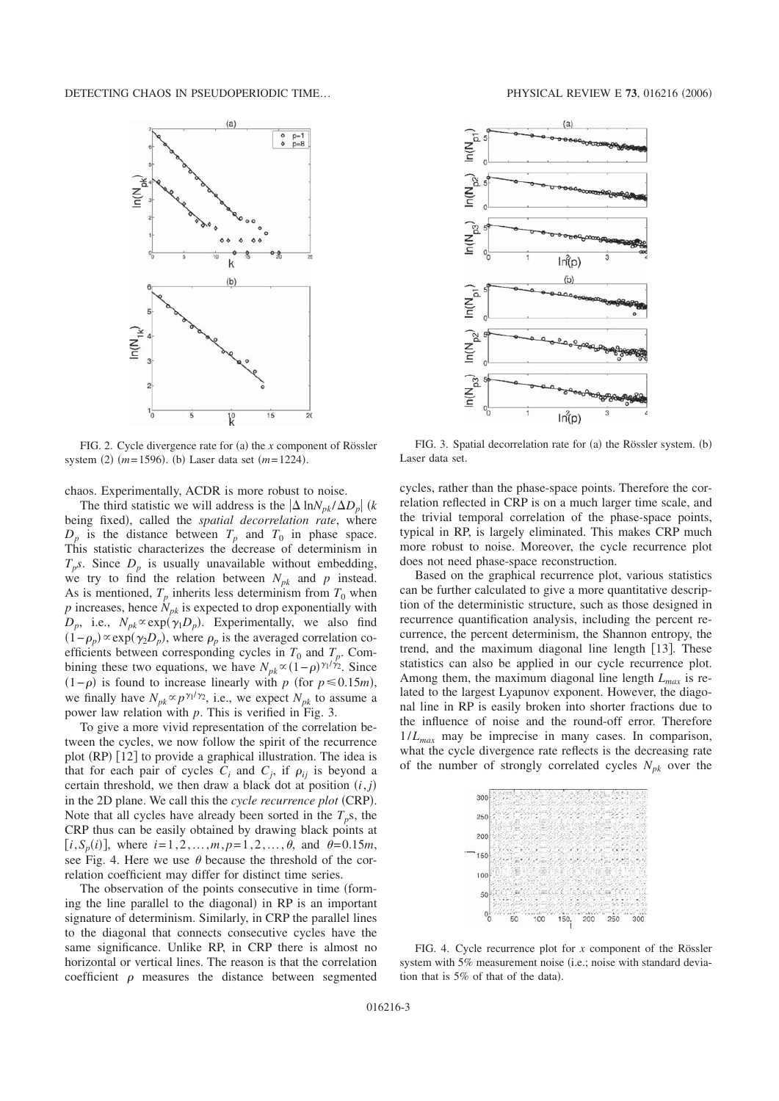

FIG. 2. Cycle divergence rate for (a) the *x* component of Rössler system  $(2)$   $(m=1596)$ .  $(b)$  Laser data set  $(m=1224)$ .

chaos. Experimentally, ACDR is more robust to noise.

The third statistic we will address is the  $|\Delta \ln N_{pk} / \Delta D_p|$  (k being fixed, called the *spatial decorrelation rate*, where  $D_p$  is the distance between  $T_p$  and  $T_0$  in phase space. This statistic characterizes the decrease of determinism in  $T_p$ s. Since  $D_p$  is usually unavailable without embedding, we try to find the relation between  $N_{pk}$  and  $p$  instead. As is mentioned,  $T_p$  inherits less determinism from  $T_0$  when  $p$  increases, hence  $N_{pk}$  is expected to drop exponentially with  $D_p$ , i.e.,  $N_{pk} \propto \exp(\gamma_1 D_p)$ . Experimentally, we also find  $(1 - \rho_p) \propto \exp(\gamma_2 D_p)$ , where  $\rho_p$  is the averaged correlation coefficients between corresponding cycles in  $T_0$  and  $T_p$ . Combining these two equations, we have  $N_{pk} \propto (1-\rho)^{\gamma_1/\gamma_2}$ . Since  $(1-p)$  is found to increase linearly with *p* (for *p*≤0.15*m*), we finally have  $N_{pk} \propto p^{\gamma_1/\gamma_2}$ , i.e., we expect  $N_{pk}$  to assume a power law relation with *p*. This is verified in Fig. 3.

To give a more vivid representation of the correlation between the cycles, we now follow the spirit of the recurrence plot (RP) [12] to provide a graphical illustration. The idea is that for each pair of cycles  $C_i$  and  $C_j$ , if  $\rho_{ij}$  is beyond a certain threshold, we then draw a black dot at position  $(i, j)$ in the 2D plane. We call this the *cycle recurrence plot* (CRP). Note that all cycles have already been sorted in the  $T_p$ s, the CRP thus can be easily obtained by drawing black points at  $[i, S_p(i)]$ , where  $i = 1, 2, ..., m, p = 1, 2, ..., \theta$ , and  $\theta = 0.15m$ , see Fig. 4. Here we use  $\theta$  because the threshold of the correlation coefficient may differ for distinct time series.

The observation of the points consecutive in time (forming the line parallel to the diagonal) in RP is an important signature of determinism. Similarly, in CRP the parallel lines to the diagonal that connects consecutive cycles have the same significance. Unlike RP, in CRP there is almost no horizontal or vertical lines. The reason is that the correlation coefficient  $\rho$  measures the distance between segmented



FIG. 3. Spatial decorrelation rate for (a) the Rössler system. (b) Laser data set.

cycles, rather than the phase-space points. Therefore the correlation reflected in CRP is on a much larger time scale, and the trivial temporal correlation of the phase-space points, typical in RP, is largely eliminated. This makes CRP much more robust to noise. Moreover, the cycle recurrence plot does not need phase-space reconstruction.

Based on the graphical recurrence plot, various statistics can be further calculated to give a more quantitative description of the deterministic structure, such as those designed in recurrence quantification analysis, including the percent recurrence, the percent determinism, the Shannon entropy, the trend, and the maximum diagonal line length [13]. These statistics can also be applied in our cycle recurrence plot. Among them, the maximum diagonal line length  $L_{max}$  is related to the largest Lyapunov exponent. However, the diagonal line in RP is easily broken into shorter fractions due to the influence of noise and the round-off error. Therefore 1/*Lmax* may be imprecise in many cases. In comparison, what the cycle divergence rate reflects is the decreasing rate of the number of strongly correlated cycles  $N_{pk}$  over the



FIG. 4. Cycle recurrence plot for *x* component of the Rössler system with 5% measurement noise (i.e.; noise with standard deviation that is  $5\%$  of that of the data).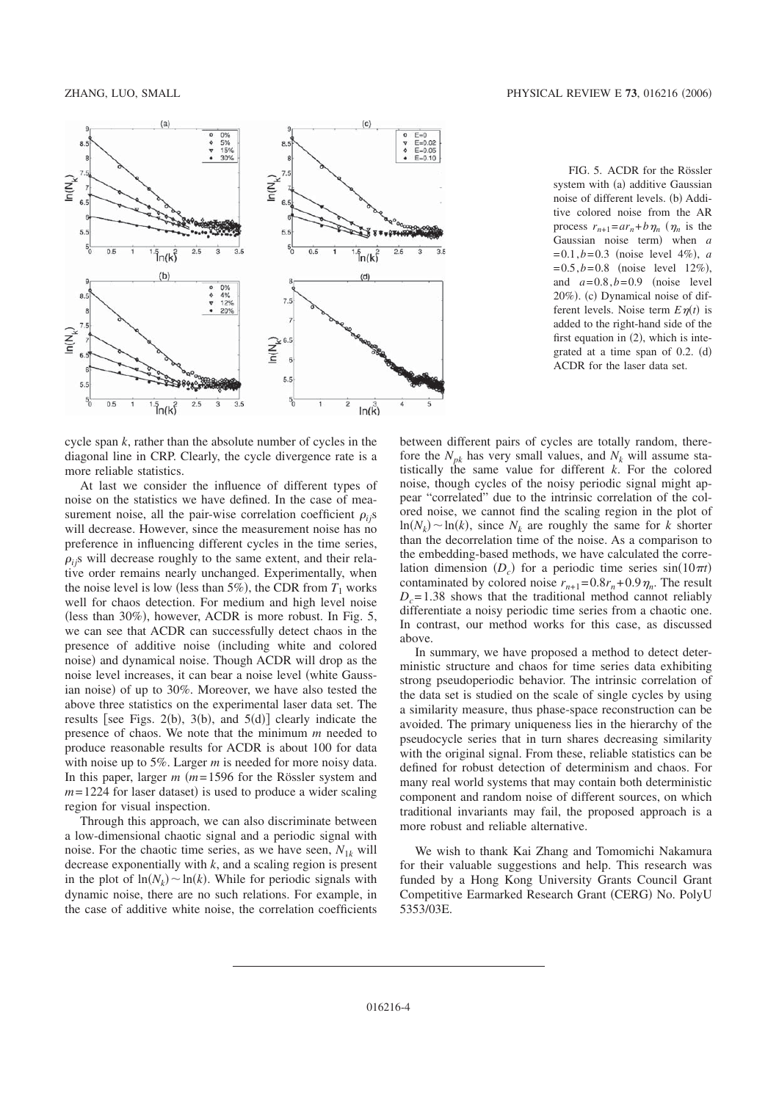

cycle span *k*, rather than the absolute number of cycles in the diagonal line in CRP. Clearly, the cycle divergence rate is a more reliable statistics.

At last we consider the influence of different types of noise on the statistics we have defined. In the case of measurement noise, all the pair-wise correlation coefficient  $\rho_{ij}$ s will decrease. However, since the measurement noise has no preference in influencing different cycles in the time series,  $\rho_{ij}$ s will decrease roughly to the same extent, and their relative order remains nearly unchanged. Experimentally, when the noise level is low (less than  $5\%$ ), the CDR from  $T_1$  works well for chaos detection. For medium and high level noise (less than 30%), however, ACDR is more robust. In Fig. 5, we can see that ACDR can successfully detect chaos in the presence of additive noise (including white and colored noise) and dynamical noise. Though ACDR will drop as the noise level increases, it can bear a noise level (white Gaussian noise) of up to 30%. Moreover, we have also tested the above three statistics on the experimental laser data set. The results [see Figs. 2(b), 3(b), and  $5(d)$ ] clearly indicate the presence of chaos. We note that the minimum *m* needed to produce reasonable results for ACDR is about 100 for data with noise up to 5%. Larger *m* is needed for more noisy data. In this paper, larger  $m$  ( $m = 1596$  for the Rössler system and  $m=1224$  for laser dataset) is used to produce a wider scaling region for visual inspection.

Through this approach, we can also discriminate between a low-dimensional chaotic signal and a periodic signal with noise. For the chaotic time series, as we have seen,  $N_{1k}$  will decrease exponentially with *k*, and a scaling region is present in the plot of  $\ln(N_k) \sim \ln(k)$ . While for periodic signals with dynamic noise, there are no such relations. For example, in the case of additive white noise, the correlation coefficients

FIG. 5. ACDR for the Rössler system with (a) additive Gaussian noise of different levels. (b) Additive colored noise from the AR process  $r_{n+1} = ar_n + b \eta_n$  ( $\eta_n$  is the Gaussian noise term) when *a*  $= 0.1, b = 0.3$  (noise level 4%), *a*  $= 0.5, b = 0.8$  (noise level 12%), and  $a=0.8$ , $b=0.9$  (noise level 20%). (c) Dynamical noise of different levels. Noise term  $E \eta(t)$  is added to the right-hand side of the first equation in  $(2)$ , which is integrated at a time span of  $0.2$ .  $(d)$ ACDR for the laser data set.

between different pairs of cycles are totally random, therefore the  $N_{pk}$  has very small values, and  $N_k$  will assume statistically the same value for different *k*. For the colored noise, though cycles of the noisy periodic signal might appear "correlated" due to the intrinsic correlation of the colored noise, we cannot find the scaling region in the plot of  $\ln(N_k) \sim \ln(k)$ , since  $N_k$  are roughly the same for *k* shorter than the decorrelation time of the noise. As a comparison to the embedding-based methods, we have calculated the correlation dimension  $(D_c)$  for a periodic time series  $sin(10\pi t)$ contaminated by colored noise  $r_{n+1} = 0.8r_n + 0.9 \eta_n$ . The result  $D_c$ = 1.38 shows that the traditional method cannot reliably differentiate a noisy periodic time series from a chaotic one. In contrast, our method works for this case, as discussed above.

In summary, we have proposed a method to detect deterministic structure and chaos for time series data exhibiting strong pseudoperiodic behavior. The intrinsic correlation of the data set is studied on the scale of single cycles by using a similarity measure, thus phase-space reconstruction can be avoided. The primary uniqueness lies in the hierarchy of the pseudocycle series that in turn shares decreasing similarity with the original signal. From these, reliable statistics can be defined for robust detection of determinism and chaos. For many real world systems that may contain both deterministic component and random noise of different sources, on which traditional invariants may fail, the proposed approach is a more robust and reliable alternative.

We wish to thank Kai Zhang and Tomomichi Nakamura for their valuable suggestions and help. This research was funded by a Hong Kong University Grants Council Grant Competitive Earmarked Research Grant (CERG) No. PolyU 5353/03E.